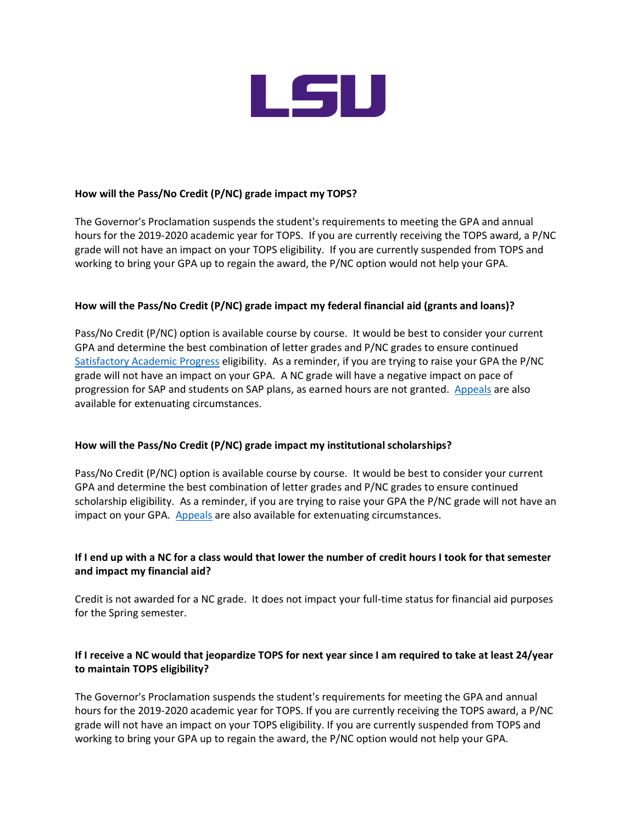

#### **How will the Pass/No Credit (P/NC) grade impact my TOPS?**

The Governor's Proclamation suspends the student's requirements to meeting the GPA and annual hours for the 2019-2020 academic year for TOPS. If you are currently receiving the TOPS award, a P/NC grade will not have an impact on your TOPS eligibility. If you are currently suspended from TOPS and working to bring your GPA up to regain the award, the P/NC option would not help your GPA.

#### **How will the Pass/No Credit (P/NC) grade impact my federal financial aid (grants and loans)?**

Pass/No Credit (P/NC) option is available course by course. It would be best to consider your current GPA and determine the best combination of letter grades and P/NC grades to ensure continued [Satisfactory Academic Progress](http://lsu.edu/sap) eligibility. As a reminder, if you are trying to raise your GPA the P/NC grade will not have an impact on your GPA. A NC grade will have a negative impact on pace of progression for SAP and students on SAP plans, as earned hours are not granted. [Appeals](https://lsu.edu/financialaid/files/appeal_form_10-24-19.pdf) are also available for extenuating circumstances.

#### **How will the Pass/No Credit (P/NC) grade impact my institutional scholarships?**

Pass/No Credit (P/NC) option is available course by course. It would be best to consider your current GPA and determine the best combination of letter grades and P/NC grades to ensure continued scholarship eligibility. As a reminder, if you are trying to raise your GPA the P/NC grade will not have an impact on your GPA. [Appeals](https://lsu.edu/financialaid/policies/university_scholarship_retention_requirements/scholarship_appeal_form.pdf) are also available for extenuating circumstances.

# **If I end up with a NC for a class would that lower the number of credit hours I took for that semester and impact my financial aid?**

Credit is not awarded for a NC grade. It does not impact your full-time status for financial aid purposes for the Spring semester.

# **If I receive a NC would that jeopardize TOPS for next year since I am required to take at least 24/year to maintain TOPS eligibility?**

The Governor's Proclamation suspends the student's requirements for meeting the GPA and annual hours for the 2019-2020 academic year for TOPS. If you are currently receiving the TOPS award, a P/NC grade will not have an impact on your TOPS eligibility. If you are currently suspended from TOPS and working to bring your GPA up to regain the award, the P/NC option would not help your GPA.